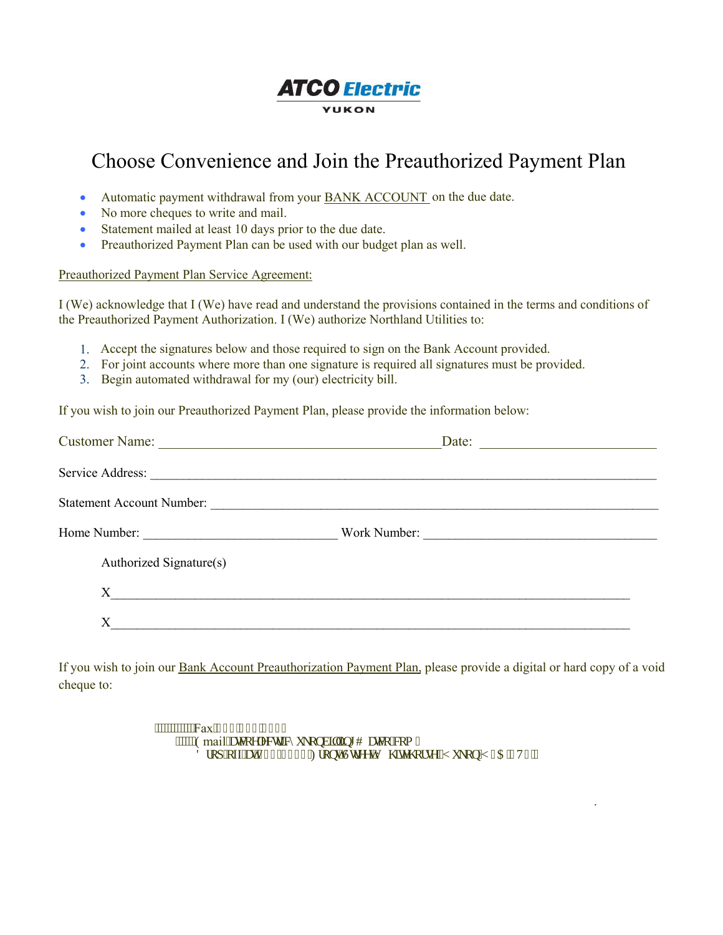## **ATCO Electric** YUKON

## Choose Convenience and Join the Preauthorized Payment Plan

- Automatic payment withdrawal from your **BANK ACCOUNT** on the due date.
- No more cheques to write and mail.
- Statement mailed at least 10 days prior to the due date.
- Preauthorized Payment Plan can be used with our budget plan as well.

## Preauthorized Payment Plan Service Agreement:

I (We) acknowledge that I (We) have read and understand the provisions contained in the terms and conditions of the Preauthorized Payment Authorization. I (We) authorize Northland Utilities to:

- 1. Accept the signatures below and those required to sign on the Bank Account provided.
- 2. For joint accounts where more than one signature is required all signatures must be provided.
- 3. Begin automated withdrawal for my (our) electricity bill.

If you wish to join our Preauthorized Payment Plan, please provide the information below:

|                           | Date:        |
|---------------------------|--------------|
|                           |              |
| Statement Account Number: |              |
|                           | Work Number: |
| Authorized Signature(s)   |              |
| $X \sim$                  |              |
| X                         |              |

If you wish to join our Bank Account Preauthorization Payment Plan, please provide a digital or hard copy of a void cheque to:

.

"""""""""Fax": 89088: 088; 4 """"Gmail"cyeqgreevike{ wmpdkrkpi B cyeq@qo "  $F$ tqr "qhh" $c\bar{v}$ 322/3322" $\hat{H}$ tqp $v\hat{U}$  $t$ tgg $v'$  $\hat{I}$  kgi qtug. "[ wmqp" 3C "5V6""